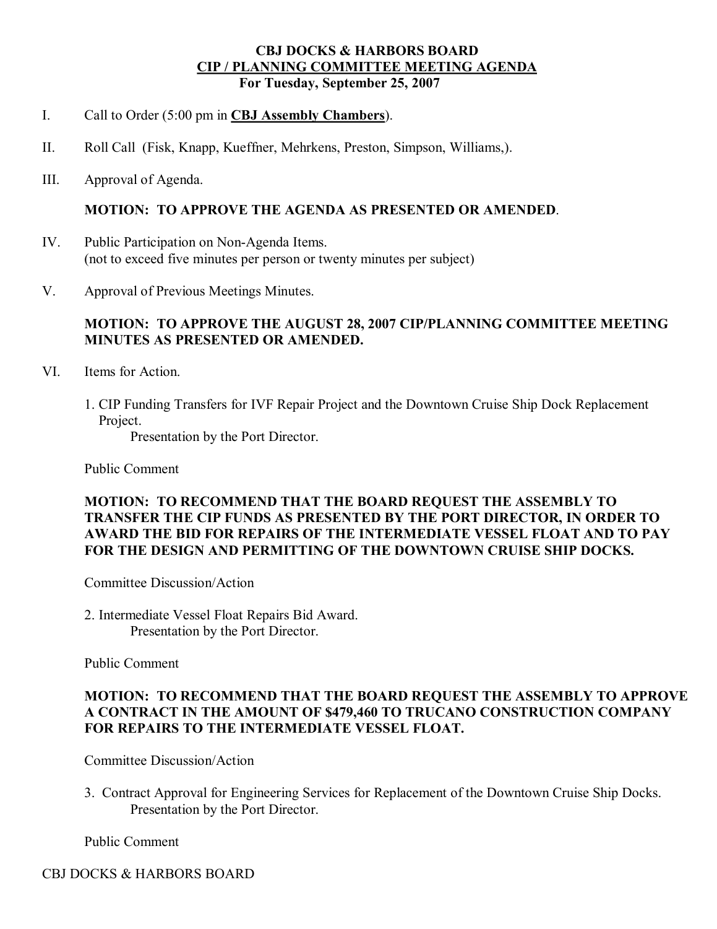### **CBJ DOCKS & HARBORS BOARD CIP / PLANNING COMMITTEE MEETING AGENDA For Tuesday, September 25, 2007**

- I. Call to Order (5:00 pm in **CBJ Assembly Chambers**).
- II. Roll Call (Fisk, Knapp, Kueffner, Mehrkens, Preston, Simpson, Williams,).
- III. Approval of Agenda.

#### **MOTION: TO APPROVE THE AGENDA AS PRESENTED OR AMENDED**.

- IV. Public Participation on Non-Agenda Items. (not to exceed five minutes per person or twenty minutes per subject)
- V. Approval of Previous Meetings Minutes.

### **MOTION: TO APPROVE THE AUGUST 28, 2007 CIP/PLANNING COMMITTEE MEETING MINUTES AS PRESENTED OR AMENDED.**

- VI. Items for Action.
	- 1. CIP Funding Transfers for IVF Repair Project and the Downtown Cruise Ship Dock Replacement Project.

Presentation by the Port Director.

Public Comment

### **MOTION: TO RECOMMEND THAT THE BOARD REQUEST THE ASSEMBLY TO TRANSFER THE CIP FUNDS AS PRESENTED BY THE PORT DIRECTOR, IN ORDER TO AWARD THE BID FOR REPAIRS OF THE INTERMEDIATE VESSEL FLOAT AND TO PAY FOR THE DESIGN AND PERMITTING OF THE DOWNTOWN CRUISE SHIP DOCKS.**

Committee Discussion/Action

2. Intermediate Vessel Float Repairs Bid Award. Presentation by the Port Director.

Public Comment

### **MOTION: TO RECOMMEND THAT THE BOARD REQUEST THE ASSEMBLY TO APPROVE A CONTRACT IN THE AMOUNT OF \$479,460 TO TRUCANO CONSTRUCTION COMPANY FOR REPAIRS TO THE INTERMEDIATE VESSEL FLOAT.**

Committee Discussion/Action

3. Contract Approval for Engineering Services for Replacement of the Downtown Cruise Ship Docks. Presentation by the Port Director.

Public Comment

## CBJ DOCKS & HARBORS BOARD